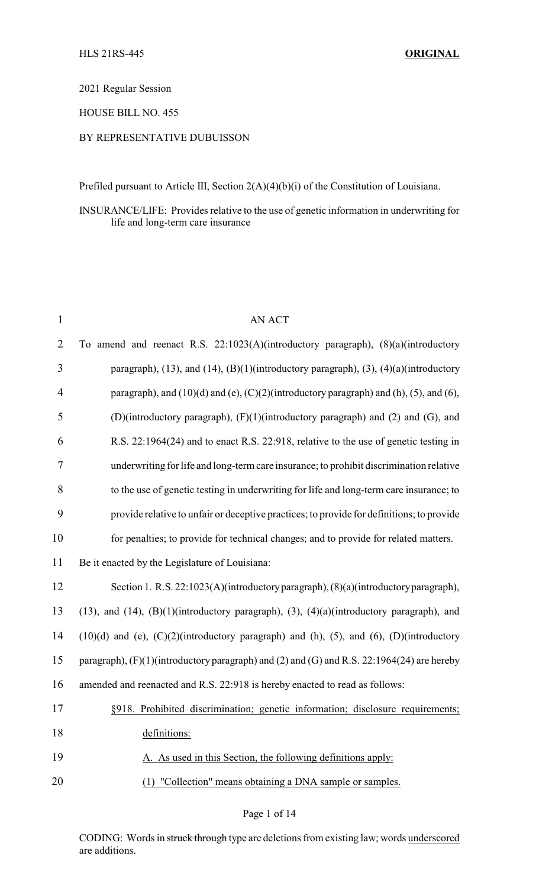#### 2021 Regular Session

### HOUSE BILL NO. 455

#### BY REPRESENTATIVE DUBUISSON

Prefiled pursuant to Article III, Section 2(A)(4)(b)(i) of the Constitution of Louisiana.

INSURANCE/LIFE: Provides relative to the use of genetic information in underwriting for life and long-term care insurance

| $\mathbf{1}$   | <b>AN ACT</b>                                                                                                  |
|----------------|----------------------------------------------------------------------------------------------------------------|
| $\overline{2}$ | To amend and reenact R.S. 22:1023(A)(introductory paragraph), (8)(a)(introductory                              |
| $\mathfrak{Z}$ | paragraph), (13), and (14), (B)(1)(introductory paragraph), (3), (4)(a)(introductory                           |
| 4              | paragraph), and $(10)(d)$ and $(e)$ , $(C)(2)$ (introductory paragraph) and $(h)$ , $(5)$ , and $(6)$ ,        |
| 5              | (D)(introductory paragraph), (F)(1)(introductory paragraph) and (2) and (G), and                               |
| 6              | R.S. 22:1964(24) and to enact R.S. 22:918, relative to the use of genetic testing in                           |
| $\tau$         | underwriting for life and long-term care insurance; to prohibit discrimination relative                        |
| 8              | to the use of genetic testing in underwriting for life and long-term care insurance; to                        |
| 9              | provide relative to unfair or deceptive practices; to provide for definitions; to provide                      |
| 10             | for penalties; to provide for technical changes; and to provide for related matters.                           |
| 11             | Be it enacted by the Legislature of Louisiana:                                                                 |
| 12             | Section 1. R.S. 22:1023(A)(introductory paragraph), (8)(a)(introductory paragraph),                            |
| 13             | $(13)$ , and $(14)$ , $(B)(1)$ (introductory paragraph), $(3)$ , $(4)(a)$ (introductory paragraph), and        |
| 14             | $(10)(d)$ and $(e)$ , $(C)(2)(introducing a graph)$ and $(h)$ , $(5)$ , and $(6)$ , $(D)(introducing a graph)$ |
| 15             | paragraph), (F)(1)(introductory paragraph) and (2) and (G) and R.S. 22:1964(24) are hereby                     |
| 16             | amended and reenacted and R.S. 22:918 is hereby enacted to read as follows:                                    |
| 17             | §918. Prohibited discrimination; genetic information; disclosure requirements;                                 |
| 18             | definitions:                                                                                                   |
| 19             | A. As used in this Section, the following definitions apply:                                                   |
| 20             | (1) "Collection" means obtaining a DNA sample or samples.                                                      |

Page 1 of 14

CODING: Words in struck through type are deletions from existing law; words underscored are additions.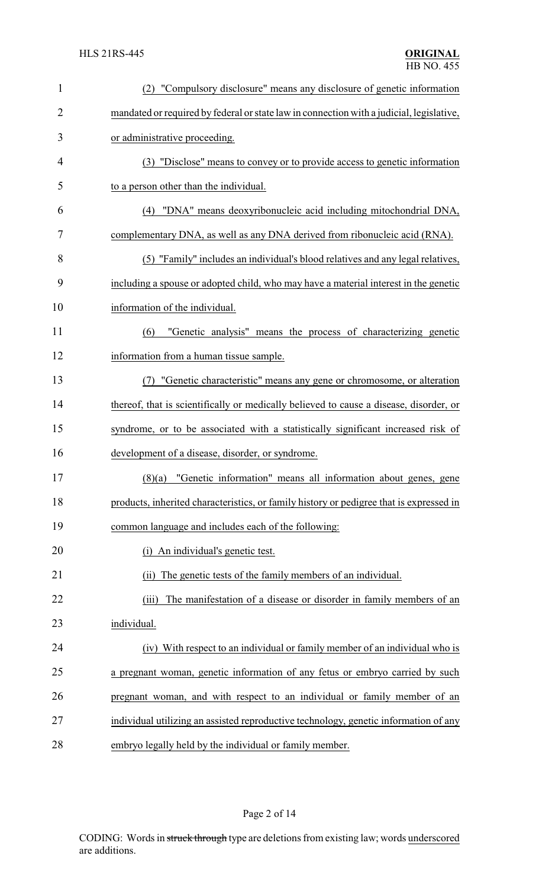| $\mathbf{1}$   | (2) "Compulsory disclosure" means any disclosure of genetic information                  |
|----------------|------------------------------------------------------------------------------------------|
| $\overline{2}$ | mandated or required by federal or state law in connection with a judicial, legislative, |
| 3              | or administrative proceeding.                                                            |
| $\overline{4}$ | (3) "Disclose" means to convey or to provide access to genetic information               |
| 5              | to a person other than the individual.                                                   |
| 6              | "DNA" means deoxyribonucleic acid including mitochondrial DNA,<br>(4)                    |
| 7              | complementary DNA, as well as any DNA derived from ribonucleic acid (RNA).               |
| 8              | (5) "Family" includes an individual's blood relatives and any legal relatives,           |
| 9              | including a spouse or adopted child, who may have a material interest in the genetic     |
| 10             | information of the individual.                                                           |
| 11             | "Genetic analysis" means the process of characterizing genetic<br>(6)                    |
| 12             | information from a human tissue sample.                                                  |
| 13             | "Genetic characteristic" means any gene or chromosome, or alteration                     |
| 14             | thereof, that is scientifically or medically believed to cause a disease, disorder, or   |
| 15             | syndrome, or to be associated with a statistically significant increased risk of         |
| 16             | development of a disease, disorder, or syndrome.                                         |
| 17             | $(8)(a)$ "Genetic information" means all information about genes, gene                   |
| 18             | products, inherited characteristics, or family history or pedigree that is expressed in  |
| 19             | common language and includes each of the following:                                      |
| 20             | (i) An individual's genetic test.                                                        |
| 21             | The genetic tests of the family members of an individual.<br>(ii)                        |
| 22             | The manifestation of a disease or disorder in family members of an<br>(iii)              |
| 23             | individual.                                                                              |
| 24             | (iv) With respect to an individual or family member of an individual who is              |
| 25             | a pregnant woman, genetic information of any fetus or embryo carried by such             |
| 26             | pregnant woman, and with respect to an individual or family member of an                 |
| 27             | individual utilizing an assisted reproductive technology, genetic information of any     |
| 28             | embryo legally held by the individual or family member.                                  |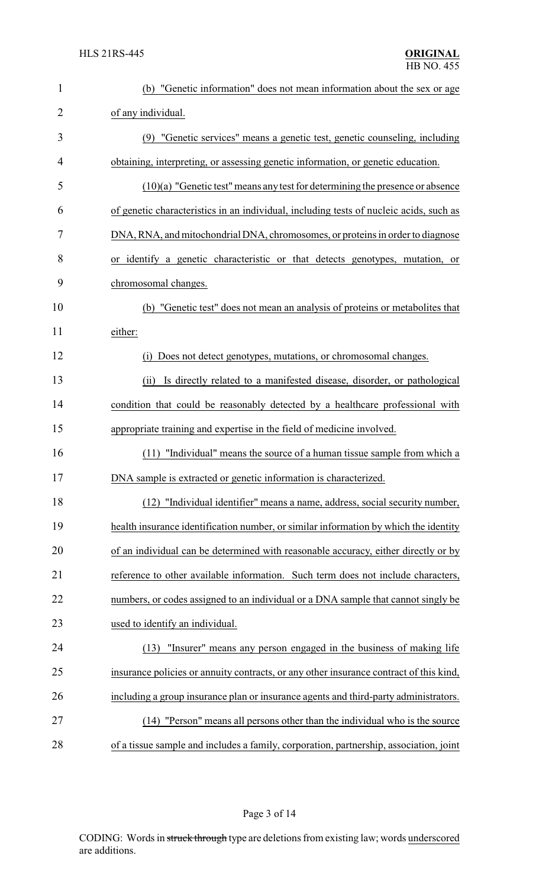| $\mathbf{1}$   | (b) "Genetic information" does not mean information about the sex or age               |
|----------------|----------------------------------------------------------------------------------------|
| $\overline{2}$ | of any individual.                                                                     |
| 3              | (9) "Genetic services" means a genetic test, genetic counseling, including             |
| 4              | obtaining, interpreting, or assessing genetic information, or genetic education.       |
| 5              | $(10)(a)$ "Genetic test" means any test for determining the presence or absence        |
| 6              | of genetic characteristics in an individual, including tests of nucleic acids, such as |
| 7              | DNA, RNA, and mitochondrial DNA, chromosomes, or proteins in order to diagnose         |
| 8              | or identify a genetic characteristic or that detects genotypes, mutation, or           |
| 9              | chromosomal changes.                                                                   |
| 10             | "Genetic test" does not mean an analysis of proteins or metabolites that<br>(b)        |
| 11             | either:                                                                                |
| 12             | Does not detect genotypes, mutations, or chromosomal changes.<br>(i)                   |
| 13             | Is directly related to a manifested disease, disorder, or pathological<br>(ii)         |
| 14             | condition that could be reasonably detected by a healthcare professional with          |
| 15             | appropriate training and expertise in the field of medicine involved.                  |
| 16             | "Individual" means the source of a human tissue sample from which a<br>(11)            |
| 17             | DNA sample is extracted or genetic information is characterized.                       |
| 18             | (12) "Individual identifier" means a name, address, social security number,            |
| 19             | health insurance identification number, or similar information by which the identity   |
| 20             | of an individual can be determined with reasonable accuracy, either directly or by     |
| 21             | reference to other available information. Such term does not include characters,       |
| 22             | numbers, or codes assigned to an individual or a DNA sample that cannot singly be      |
| 23             | used to identify an individual.                                                        |
| 24             | "Insurer <u>" means any person engaged in the business of making life</u><br>(13)      |
| 25             | insurance policies or annuity contracts, or any other insurance contract of this kind, |
| 26             | including a group insurance plan or insurance agents and third-party administrators.   |
| 27             | (14) "Person" means all persons other than the individual who is the source            |
| 28             | of a tissue sample and includes a family, corporation, partnership, association, joint |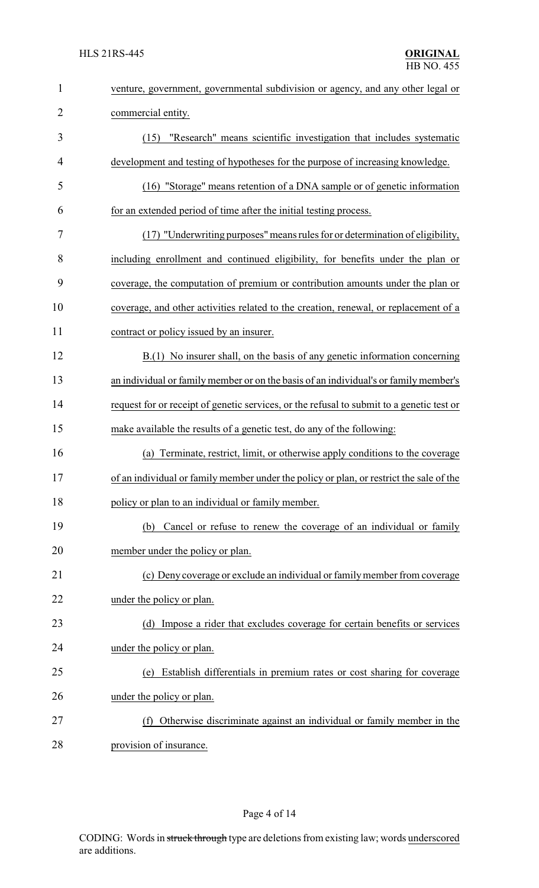| $\mathbf{1}$   | venture, government, governmental subdivision or agency, and any other legal or           |
|----------------|-------------------------------------------------------------------------------------------|
| $\overline{2}$ | commercial entity.                                                                        |
| 3              | "Research" means scientific investigation that includes systematic<br>(15)                |
| $\overline{4}$ | development and testing of hypotheses for the purpose of increasing knowledge.            |
| 5              | (16) "Storage" means retention of a DNA sample or of genetic information                  |
| 6              | for an extended period of time after the initial testing process.                         |
| 7              | (17) "Underwriting purposes" means rules for or determination of eligibility,             |
| 8              | including enrollment and continued eligibility, for benefits under the plan or            |
| 9              | coverage, the computation of premium or contribution amounts under the plan or            |
| 10             | coverage, and other activities related to the creation, renewal, or replacement of a      |
| 11             | contract or policy issued by an insurer.                                                  |
| 12             | B.(1) No insurer shall, on the basis of any genetic information concerning                |
| 13             | an individual or family member or on the basis of an individual's or family member's      |
| 14             | request for or receipt of genetic services, or the refusal to submit to a genetic test or |
| 15             | make available the results of a genetic test, do any of the following:                    |
| 16             | Terminate, restrict, limit, or otherwise apply conditions to the coverage<br>(a)          |
| 17             | of an individual or family member under the policy or plan, or restrict the sale of the   |
| 18             | policy or plan to an individual or family member.                                         |
| 19             | Cancel or refuse to renew the coverage of an individual or family<br>(b)                  |
| 20             | member under the policy or plan.                                                          |
| 21             | (c) Deny coverage or exclude an individual or family member from coverage                 |
| 22             | under the policy or plan.                                                                 |
| 23             | (d) Impose a rider that excludes coverage for certain benefits or services                |
| 24             | under the policy or plan.                                                                 |
| 25             | Establish differentials in premium rates or cost sharing for coverage<br>(e)              |
| 26             | under the policy or plan.                                                                 |
| 27             | Otherwise discriminate against an individual or family member in the<br>(f)               |
| 28             | provision of insurance.                                                                   |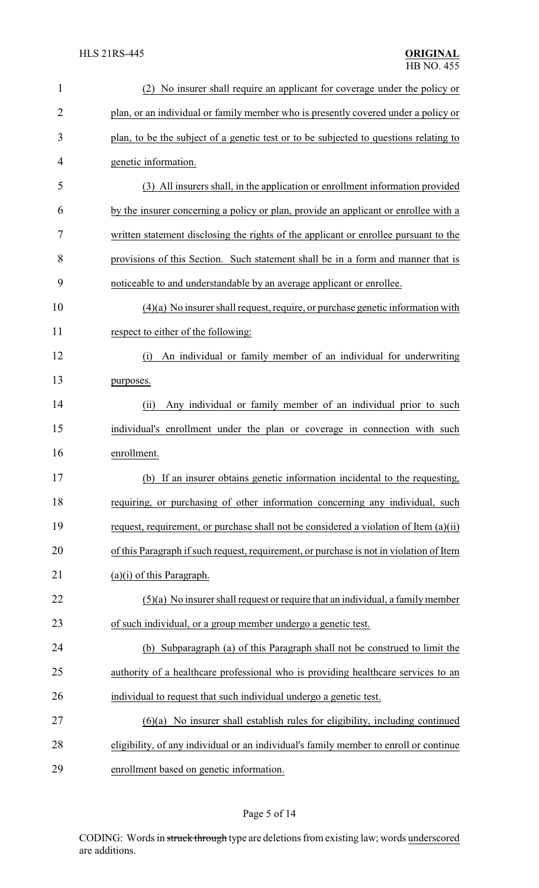| $\mathbf{1}$ | No insurer shall require an applicant for coverage under the policy or<br>(2)           |
|--------------|-----------------------------------------------------------------------------------------|
| 2            | plan, or an individual or family member who is presently covered under a policy or      |
| 3            | plan, to be the subject of a genetic test or to be subjected to questions relating to   |
| 4            | genetic information.                                                                    |
| 5            | (3) All insurers shall, in the application or enrollment information provided           |
| 6            | by the insurer concerning a policy or plan, provide an applicant or enrollee with a     |
| 7            | written statement disclosing the rights of the applicant or enrollee pursuant to the    |
| 8            | provisions of this Section. Such statement shall be in a form and manner that is        |
| 9            | noticeable to and understandable by an average applicant or enrollee.                   |
| 10           | $(4)(a)$ No insurer shall request, require, or purchase genetic information with        |
| 11           | respect to either of the following:                                                     |
| 12           | An individual or family member of an individual for underwriting<br>(i)                 |
| 13           | purposes.                                                                               |
| 14           | Any individual or family member of an individual prior to such<br>(ii)                  |
| 15           | individual's enrollment under the plan or coverage in connection with such              |
| 16           | enrollment.                                                                             |
| 17           | (b) If an insurer obtains genetic information incidental to the requesting,             |
| 18           | requiring, or purchasing of other information concerning any individual, such           |
| 19           | request, requirement, or purchase shall not be considered a violation of Item (a)(ii)   |
| 20           | of this Paragraph if such request, requirement, or purchase is not in violation of Item |
| 21           | $(a)(i)$ of this Paragraph.                                                             |
| 22           | $(5)(a)$ No insurer shall request or require that an individual, a family member        |
| 23           | of such individual, or a group member undergo a genetic test.                           |
| 24           | (b) Subparagraph (a) of this Paragraph shall not be construed to limit the              |
| 25           | authority of a healthcare professional who is providing healthcare services to an       |
| 26           | individual to request that such individual undergo a genetic test.                      |
| 27           | $(6)(a)$ No insurer shall establish rules for eligibility, including continued          |
| 28           | eligibility, of any individual or an individual's family member to enroll or continue   |
| 29           | enrollment based on genetic information.                                                |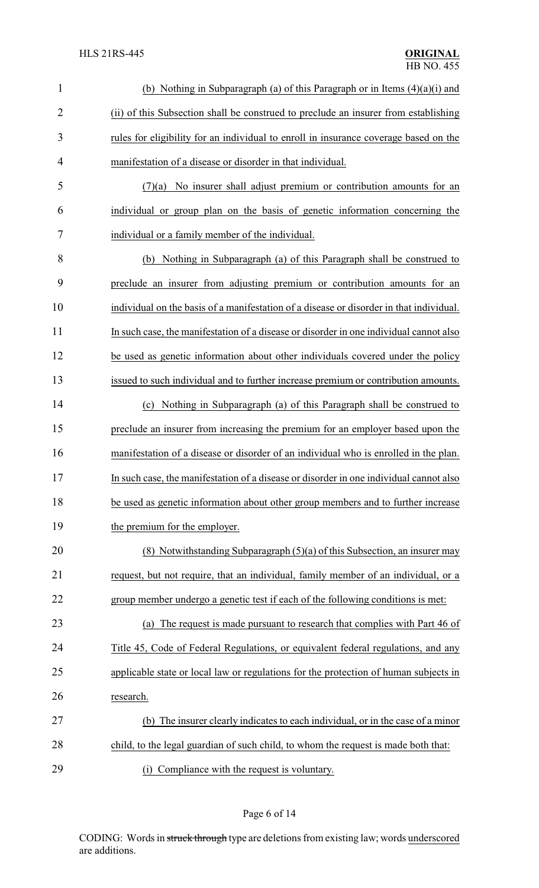| $\mathbf{1}$   | (b) Nothing in Subparagraph (a) of this Paragraph or in Items $(4)(a)(i)$ and           |
|----------------|-----------------------------------------------------------------------------------------|
| $\overline{2}$ | (ii) of this Subsection shall be construed to preclude an insurer from establishing     |
| 3              | rules for eligibility for an individual to enroll in insurance coverage based on the    |
| 4              | manifestation of a disease or disorder in that individual.                              |
| 5              | No insurer shall adjust premium or contribution amounts for an<br>(7)(a)                |
| 6              | individual or group plan on the basis of genetic information concerning the             |
| 7              | individual or a family member of the individual.                                        |
| 8              | (b) Nothing in Subparagraph (a) of this Paragraph shall be construed to                 |
| 9              | preclude an insurer from adjusting premium or contribution amounts for an               |
| 10             | individual on the basis of a manifestation of a disease or disorder in that individual. |
| 11             | In such case, the manifestation of a disease or disorder in one individual cannot also  |
| 12             | be used as genetic information about other individuals covered under the policy         |
| 13             | issued to such individual and to further increase premium or contribution amounts.      |
| 14             | Nothing in Subparagraph (a) of this Paragraph shall be construed to<br>(c)              |
| 15             | preclude an insurer from increasing the premium for an employer based upon the          |
| 16             | manifestation of a disease or disorder of an individual who is enrolled in the plan.    |
| 17             | In such case, the manifestation of a disease or disorder in one individual cannot also  |
| 18             | be used as genetic information about other group members and to further increase        |
| 19             | the premium for the employer.                                                           |
| 20             | (8) Notwithstanding Subparagraph $(5)(a)$ of this Subsection, an insurer may            |
| 21             | request, but not require, that an individual, family member of an individual, or a      |
| 22             | group member undergo a genetic test if each of the following conditions is met:         |
| 23             | (a) The request is made pursuant to research that complies with Part 46 of              |
| 24             | Title 45, Code of Federal Regulations, or equivalent federal regulations, and any       |
| 25             | applicable state or local law or regulations for the protection of human subjects in    |
| 26             | research.                                                                               |
| 27             | (b) The insurer clearly indicates to each individual, or in the case of a minor         |
| 28             | child, to the legal guardian of such child, to whom the request is made both that:      |
| 29             | Compliance with the request is voluntary.<br>(i)                                        |

# Page 6 of 14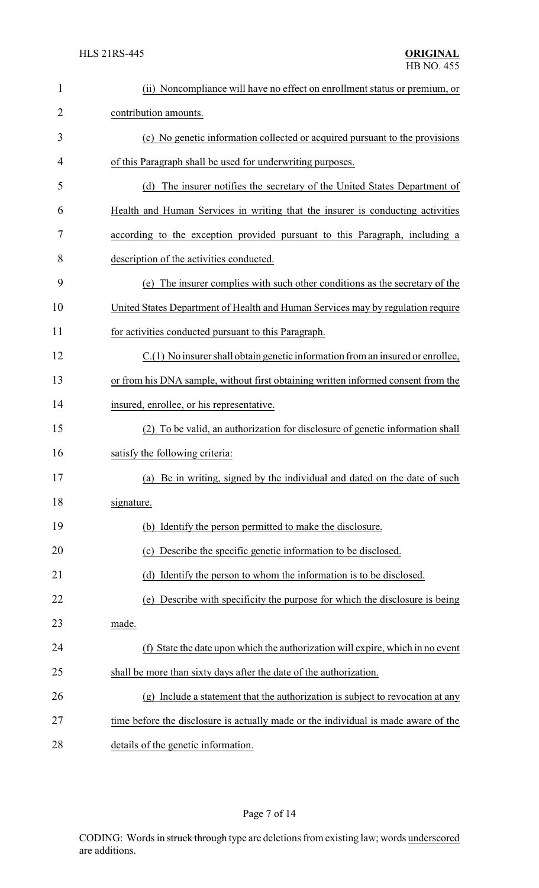| $\mathbf{1}$   | (ii) Noncompliance will have no effect on enrollment status or premium, or         |
|----------------|------------------------------------------------------------------------------------|
| $\overline{2}$ | contribution amounts.                                                              |
| 3              | (c) No genetic information collected or acquired pursuant to the provisions        |
| 4              | of this Paragraph shall be used for underwriting purposes.                         |
| 5              | The insurer notifies the secretary of the United States Department of<br>(d)       |
| 6              | Health and Human Services in writing that the insurer is conducting activities     |
| 7              | according to the exception provided pursuant to this Paragraph, including a        |
| 8              | description of the activities conducted.                                           |
| 9              | The insurer complies with such other conditions as the secretary of the<br>(e)     |
| 10             | United States Department of Health and Human Services may by regulation require    |
| 11             | for activities conducted pursuant to this Paragraph.                               |
| 12             | C.(1) No insurer shall obtain genetic information from an insured or enrollee,     |
| 13             | or from his DNA sample, without first obtaining written informed consent from the  |
| 14             | insured, enrollee, or his representative.                                          |
| 15             | (2) To be valid, an authorization for disclosure of genetic information shall      |
| 16             | satisfy the following criteria:                                                    |
| 17             | (a) Be in writing, signed by the individual and dated on the date of such          |
| 18             | signature.                                                                         |
| 19             | (b) Identify the person permitted to make the disclosure.                          |
| 20             | Describe the specific genetic information to be disclosed.<br>(c)                  |
| 21             | (d) Identify the person to whom the information is to be disclosed.                |
| 22             | Describe with specificity the purpose for which the disclosure is being<br>(e)     |
| 23             | made.                                                                              |
| 24             | (f) State the date upon which the authorization will expire, which in no event     |
| 25             | shall be more than sixty days after the date of the authorization.                 |
| 26             | (g) Include a statement that the authorization is subject to revocation at any     |
| 27             | time before the disclosure is actually made or the individual is made aware of the |
| 28             | details of the genetic information.                                                |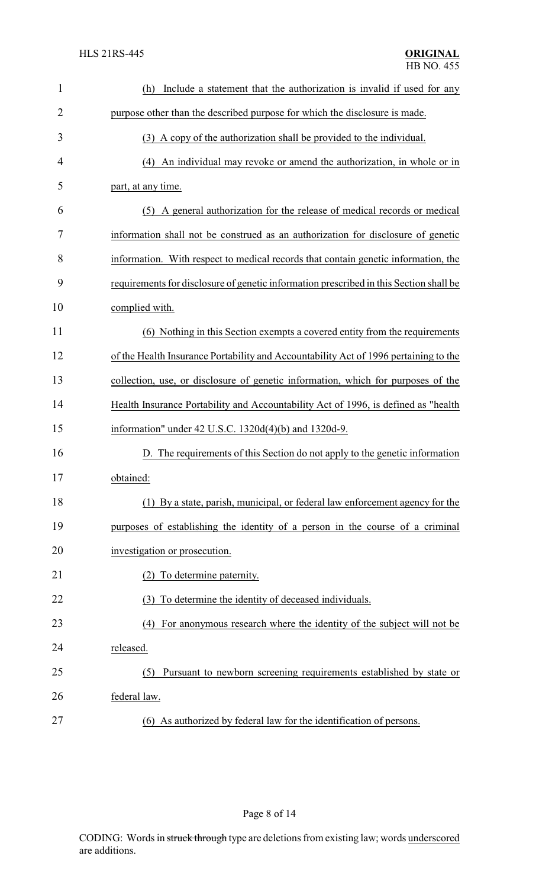| 1              | Include a statement that the authorization is invalid if used for any<br>(h)           |
|----------------|----------------------------------------------------------------------------------------|
| $\overline{2}$ | purpose other than the described purpose for which the disclosure is made.             |
| 3              | (3) A copy of the authorization shall be provided to the individual.                   |
| 4              | An individual may revoke or amend the authorization, in whole or in<br>(4)             |
| 5              | part, at any time.                                                                     |
| 6              | (5) A general authorization for the release of medical records or medical              |
| 7              | information shall not be construed as an authorization for disclosure of genetic       |
| 8              | information. With respect to medical records that contain genetic information, the     |
| 9              | requirements for disclosure of genetic information prescribed in this Section shall be |
| 10             | complied with.                                                                         |
| 11             | (6) Nothing in this Section exempts a covered entity from the requirements             |
| 12             | of the Health Insurance Portability and Accountability Act of 1996 pertaining to the   |
| 13             | collection, use, or disclosure of genetic information, which for purposes of the       |
| 14             | Health Insurance Portability and Accountability Act of 1996, is defined as "health     |
| 15             | information" under 42 U.S.C. 1320d(4)(b) and 1320d-9.                                  |
| 16             | D. The requirements of this Section do not apply to the genetic information            |
| 17             | obtained:                                                                              |
| 18             | (1) By a state, parish, municipal, or federal law enforcement agency for the           |
| 19             | purposes of establishing the identity of a person in the course of a criminal          |
| 20             | investigation or prosecution.                                                          |
| 21             | To determine paternity.                                                                |
| 22             | (3) To determine the identity of deceased individuals.                                 |
| 23             | For anonymous research where the identity of the subject will not be<br>(4)            |
| 24             | released.                                                                              |
| 25             | Pursuant to newborn screening requirements established by state or<br>(5)              |
| 26             | federal law.                                                                           |
| 27             | (6) As authorized by federal law for the identification of persons.                    |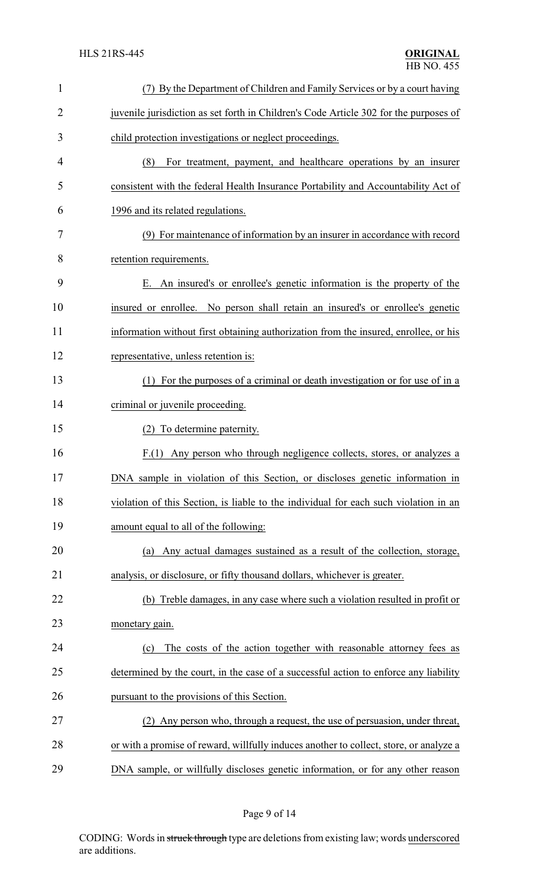| $\mathbf{1}$   | (7) By the Department of Children and Family Services or by a court having             |
|----------------|----------------------------------------------------------------------------------------|
| $\overline{2}$ | juvenile jurisdiction as set forth in Children's Code Article 302 for the purposes of  |
| 3              | child protection investigations or neglect proceedings.                                |
| 4              | (8)<br>For treatment, payment, and healthcare operations by an insurer                 |
| 5              | consistent with the federal Health Insurance Portability and Accountability Act of     |
| 6              | 1996 and its related regulations.                                                      |
| 7              | (9) For maintenance of information by an insurer in accordance with record             |
| 8              | retention requirements.                                                                |
| 9              | An insured's or enrollee's genetic information is the property of the<br>Ε.            |
| 10             | No person shall retain an insured's or enrollee's genetic<br>insured or enrollee.      |
| 11             | information without first obtaining authorization from the insured, enrollee, or his   |
| 12             | representative, unless retention is:                                                   |
| 13             | (1) For the purposes of a criminal or death investigation or for use of in a           |
| 14             | criminal or juvenile proceeding.                                                       |
| 15             | (2) To determine paternity.                                                            |
| 16             | Any person who through negligence collects, stores, or analyzes a<br>F(1)              |
| 17             | DNA sample in violation of this Section, or discloses genetic information in           |
| 18             | violation of this Section, is liable to the individual for each such violation in an   |
| 19             | amount equal to all of the following:                                                  |
| 20             | Any actual damages sustained as a result of the collection, storage,<br>(a)            |
| 21             | analysis, or disclosure, or fifty thousand dollars, whichever is greater.              |
| 22             | (b) Treble damages, in any case where such a violation resulted in profit or           |
| 23             | monetary gain.                                                                         |
| 24             | The costs of the action together with reasonable attorney fees as<br>(c)               |
| 25             | determined by the court, in the case of a successful action to enforce any liability   |
| 26             | pursuant to the provisions of this Section.                                            |
| 27             | (2) Any person who, through a request, the use of persuasion, under threat,            |
| 28             | or with a promise of reward, willfully induces another to collect, store, or analyze a |
| 29             | DNA sample, or willfully discloses genetic information, or for any other reason        |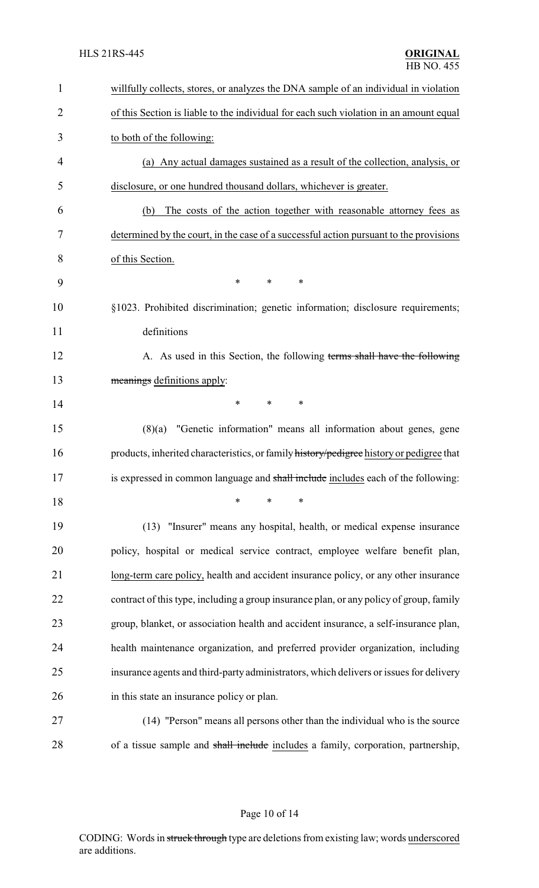| $\mathbf{1}$   | willfully collects, stores, or analyzes the DNA sample of an individual in violation     |
|----------------|------------------------------------------------------------------------------------------|
| $\overline{2}$ | of this Section is liable to the individual for each such violation in an amount equal   |
| 3              | to both of the following:                                                                |
| 4              | (a) Any actual damages sustained as a result of the collection, analysis, or             |
| 5              | disclosure, or one hundred thousand dollars, whichever is greater.                       |
| 6              | The costs of the action together with reasonable attorney fees as<br>(b)                 |
| 7              | determined by the court, in the case of a successful action pursuant to the provisions   |
| 8              | of this Section.                                                                         |
| 9              | *<br>*<br>*                                                                              |
| 10             | §1023. Prohibited discrimination; genetic information; disclosure requirements;          |
| 11             | definitions                                                                              |
| 12             | A. As used in this Section, the following terms shall have the following                 |
| 13             | meanings definitions apply:                                                              |
| 14             | *<br>*<br>*                                                                              |
| 15             | $(8)(a)$ "Genetic information" means all information about genes, gene                   |
| 16             | products, inherited characteristics, or family history/pedigree history or pedigree that |
| 17             | is expressed in common language and shall include includes each of the following:        |
| 18             | $\ast$<br>∗<br>*                                                                         |
| 19             | (13) "Insurer" means any hospital, health, or medical expense insurance                  |
| 20             | policy, hospital or medical service contract, employee welfare benefit plan,             |
| 21             | long-term care policy, health and accident insurance policy, or any other insurance      |
| 22             | contract of this type, including a group insurance plan, or any policy of group, family  |
| 23             | group, blanket, or association health and accident insurance, a self-insurance plan,     |
| 24             | health maintenance organization, and preferred provider organization, including          |
| 25             | insurance agents and third-party administrators, which delivers or issues for delivery   |
| 26             | in this state an insurance policy or plan.                                               |
| 27             | (14) "Person" means all persons other than the individual who is the source              |
| 28             | of a tissue sample and shall include includes a family, corporation, partnership,        |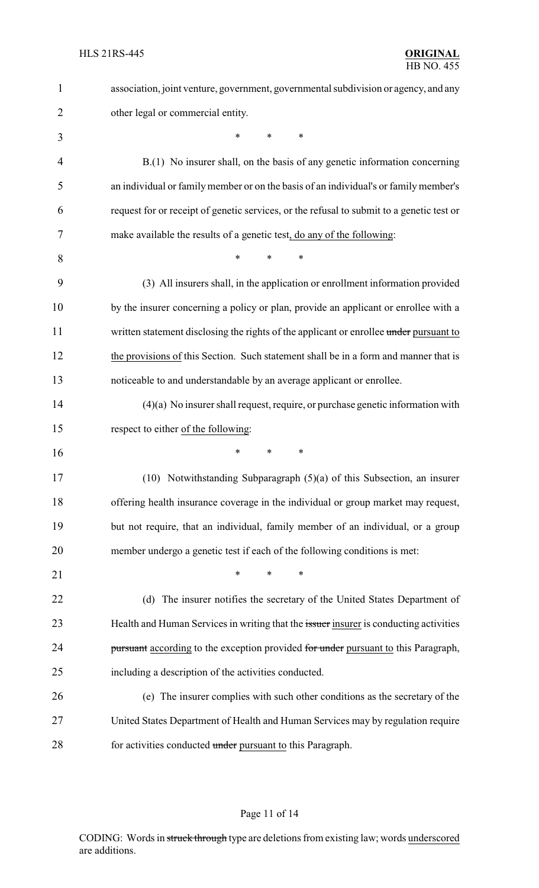| $\mathbf{1}$   | association, joint venture, government, governmental subdivision or agency, and any       |
|----------------|-------------------------------------------------------------------------------------------|
| $\overline{2}$ | other legal or commercial entity.                                                         |
| 3              | $\ast$<br>*<br>*                                                                          |
| $\overline{4}$ | B.(1) No insurer shall, on the basis of any genetic information concerning                |
| 5              | an individual or family member or on the basis of an individual's or family member's      |
| 6              | request for or receipt of genetic services, or the refusal to submit to a genetic test or |
| 7              | make available the results of a genetic test, do any of the following:                    |
| 8              | *<br>*<br>*                                                                               |
| 9              | (3) All insurers shall, in the application or enrollment information provided             |
| 10             | by the insurer concerning a policy or plan, provide an applicant or enrollee with a       |
| 11             | written statement disclosing the rights of the applicant or enrollee under pursuant to    |
| 12             | the provisions of this Section. Such statement shall be in a form and manner that is      |
| 13             | noticeable to and understandable by an average applicant or enrollee.                     |
| 14             | $(4)(a)$ No insurer shall request, require, or purchase genetic information with          |
| 15             | respect to either of the following:                                                       |
| 16             | ∗<br>*<br>∗                                                                               |
| 17             | $(10)$ Notwithstanding Subparagraph $(5)(a)$ of this Subsection, an insurer               |
| 18             | offering health insurance coverage in the individual or group market may request,         |
| 19             | but not require, that an individual, family member of an individual, or a group           |
| 20             | member undergo a genetic test if each of the following conditions is met:                 |
| 21             | $\ast$<br>∗                                                                               |
| 22             | (d) The insurer notifies the secretary of the United States Department of                 |
| 23             | Health and Human Services in writing that the issuer insurer is conducting activities     |
| 24             | pursuant according to the exception provided for under pursuant to this Paragraph,        |
| 25             | including a description of the activities conducted.                                      |
| 26             | (e) The insurer complies with such other conditions as the secretary of the               |
| 27             | United States Department of Health and Human Services may by regulation require           |
|                |                                                                                           |

# Page 11 of 14

CODING: Words in struck through type are deletions from existing law; words underscored are additions.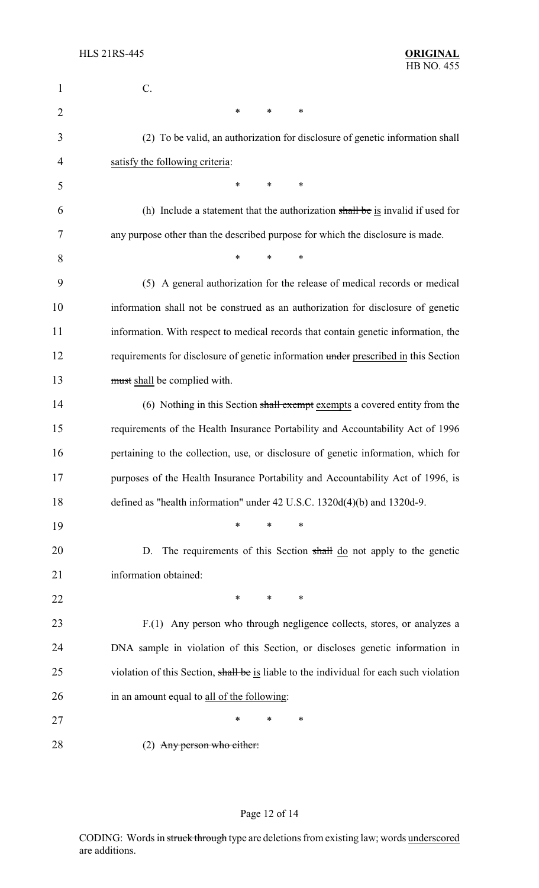| 1              | C.                                                                                      |
|----------------|-----------------------------------------------------------------------------------------|
| $\overline{2}$ | $\ast$<br>$\ast$<br>$\ast$                                                              |
| 3              | (2) To be valid, an authorization for disclosure of genetic information shall           |
| 4              | satisfy the following criteria:                                                         |
| 5              | $\ast$<br>*<br>*                                                                        |
| 6              | (h) Include a statement that the authorization shall be is invalid if used for          |
| 7              | any purpose other than the described purpose for which the disclosure is made.          |
| 8              | $\ast$<br>*<br>*                                                                        |
| 9              | (5) A general authorization for the release of medical records or medical               |
| 10             | information shall not be construed as an authorization for disclosure of genetic        |
| 11             | information. With respect to medical records that contain genetic information, the      |
| 12             | requirements for disclosure of genetic information under prescribed in this Section     |
| 13             | must shall be complied with.                                                            |
| 14             | (6) Nothing in this Section shall exempt exempts a covered entity from the              |
| 15             | requirements of the Health Insurance Portability and Accountability Act of 1996         |
| 16             | pertaining to the collection, use, or disclosure of genetic information, which for      |
| 17             | purposes of the Health Insurance Portability and Accountability Act of 1996, is         |
| 18             | defined as "health information" under 42 U.S.C. 1320d(4)(b) and 1320d-9.                |
| 19             | *<br>*<br>∗                                                                             |
| 20             | The requirements of this Section shall do not apply to the genetic<br>D.                |
| 21             | information obtained:                                                                   |
| 22             | $\ast$<br>$\ast$<br>∗                                                                   |
| 23             | F.(1) Any person who through negligence collects, stores, or analyzes a                 |
| 24             | DNA sample in violation of this Section, or discloses genetic information in            |
| 25             | violation of this Section, shall be is liable to the individual for each such violation |
| 26             | in an amount equal to all of the following:                                             |
| 27             | ∗<br>∗<br>∗                                                                             |
| 28             | $(2)$ Any person who either:                                                            |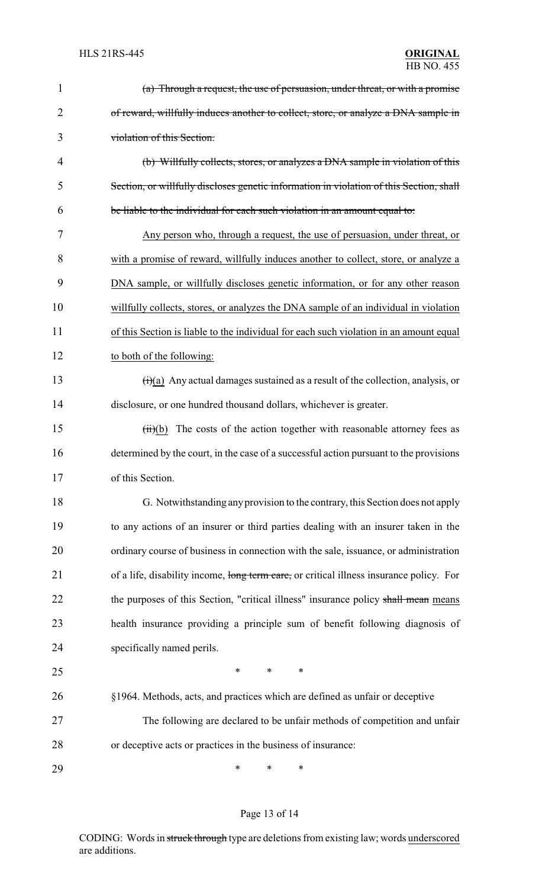| $\mathbf{1}$   | (a) Through a request, the use of persuasion, under threat, or with a promise                   |
|----------------|-------------------------------------------------------------------------------------------------|
| $\overline{2}$ | of reward, willfully induces another to collect, store, or analyze a DNA sample in              |
| 3              | violation of this Section.                                                                      |
| 4              | (b) Willfully collects, stores, or analyzes a DNA sample in violation of this                   |
| 5              | Section, or willfully discloses genetic information in violation of this Section, shall         |
| 6              | be liable to the individual for each such violation in an amount equal to:                      |
| 7              | Any person who, through a request, the use of persuasion, under threat, or                      |
| 8              | with a promise of reward, willfully induces another to collect, store, or analyze a             |
| 9              | DNA sample, or willfully discloses genetic information, or for any other reason                 |
| 10             | willfully collects, stores, or analyzes the DNA sample of an individual in violation            |
| 11             | of this Section is liable to the individual for each such violation in an amount equal          |
| 12             | to both of the following:                                                                       |
| 13             | $\overrightarrow{(t)}$ Any actual damages sustained as a result of the collection, analysis, or |
| 14             | disclosure, or one hundred thousand dollars, whichever is greater.                              |
| 15             | The costs of the action together with reasonable attorney fees as<br>(ii)(b)                    |
| 16             | determined by the court, in the case of a successful action pursuant to the provisions          |
| 17             | of this Section.                                                                                |
| 18             | G. Notwithstanding any provision to the contrary, this Section does not apply                   |
| 19             | to any actions of an insurer or third parties dealing with an insurer taken in the              |
| 20             | ordinary course of business in connection with the sale, issuance, or administration            |
| 21             | of a life, disability income, long term care, or critical illness insurance policy. For         |
| 22             | the purposes of this Section, "critical illness" insurance policy shall mean means              |
| 23             | health insurance providing a principle sum of benefit following diagnosis of                    |
| 24             | specifically named perils.                                                                      |
| 25             | *<br>*<br>∗                                                                                     |
| 26             | §1964. Methods, acts, and practices which are defined as unfair or deceptive                    |
| 27             | The following are declared to be unfair methods of competition and unfair                       |
| 28             | or deceptive acts or practices in the business of insurance:                                    |
| 29             | ∗<br>∗<br>*                                                                                     |

# Page 13 of 14

CODING: Words in struck through type are deletions from existing law; words underscored are additions.